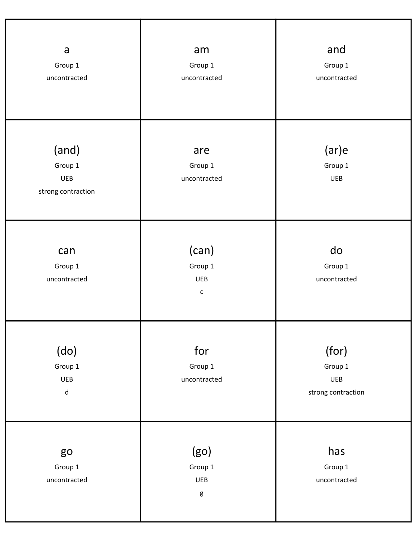| a<br>Group 1<br>uncontracted                          | am<br>Group 1<br>uncontracted                  | and<br>Group 1<br>uncontracted                |
|-------------------------------------------------------|------------------------------------------------|-----------------------------------------------|
| (and)<br>Group 1<br>UEB<br>strong contraction         | are<br>Group 1<br>uncontracted                 | (ar)e<br>Group 1<br><b>UEB</b>                |
| can<br>Group 1<br>uncontracted                        | (can)<br>Group 1<br><b>UEB</b><br>$\mathsf{c}$ | do<br>Group 1<br>uncontracted                 |
| (do)<br>Group 1<br>UEB<br>$\operatorname{\mathsf{d}}$ | for<br>Group 1<br>uncontracted                 | (for)<br>Group 1<br>UEB<br>strong contraction |
| go<br>Group 1<br>uncontracted                         | (go)<br>Group 1<br><b>UEB</b><br>$\mathsf g$   | has<br>Group 1<br>uncontracted                |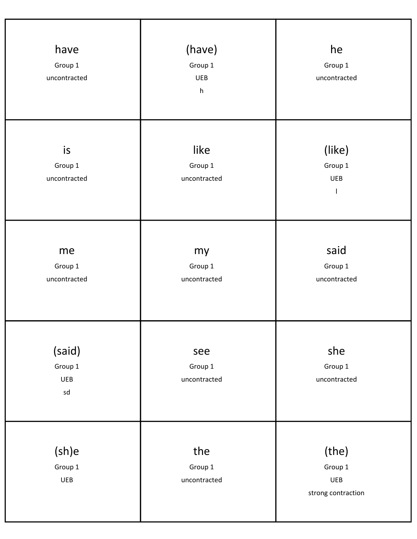| have<br>Group 1<br>uncontracted       | (have)<br>Group 1<br><b>UEB</b><br>$\boldsymbol{\mathsf{h}}$ | he<br>Group 1<br>uncontracted                 |
|---------------------------------------|--------------------------------------------------------------|-----------------------------------------------|
| is<br>Group 1<br>uncontracted         | like<br>Group 1<br>uncontracted                              | (like)<br>Group 1<br><b>UEB</b>               |
| me<br>Group 1<br>uncontracted         | my<br>Group 1<br>uncontracted                                | said<br>Group 1<br>uncontracted               |
| (said)<br>Group 1<br><b>UEB</b><br>sd | see<br>Group 1<br>uncontracted                               | she<br>Group 1<br>uncontracted                |
| (sh)e<br>Group 1<br>UEB               | the<br>Group 1<br>uncontracted                               | (the)<br>Group 1<br>UEB<br>strong contraction |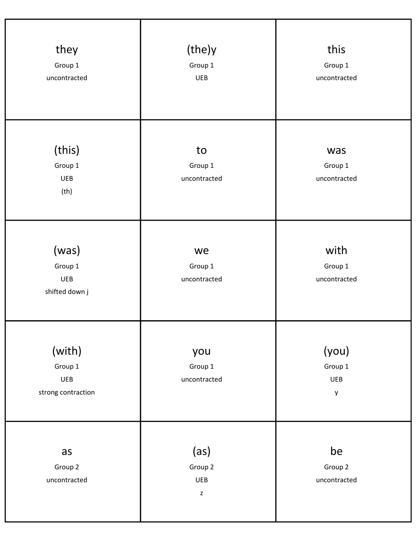| they<br>Group 1<br>uncontracted                  | (the)y<br>Group 1<br><b>UEB</b>              | this<br>Group 1<br>uncontracted     |
|--------------------------------------------------|----------------------------------------------|-------------------------------------|
| (this)<br>Group 1<br><b>UEB</b><br>(th)          | to<br>Group 1<br>uncontracted                | was<br>Group 1<br>uncontracted      |
| (was)<br>Group 1<br><b>UEB</b><br>shifted down j | we<br>Group 1<br>uncontracted                | with<br>Group 1<br>uncontracted     |
| (with)<br>Group 1<br>UEB<br>strong contraction   | you<br>Group 1<br>uncontracted               | (you)<br>Group 1<br><b>UEB</b><br>y |
| as<br>Group 2<br>uncontracted                    | (as)<br>Group 2<br><b>UEB</b><br>$\mathsf z$ | be<br>Group 2<br>uncontracted       |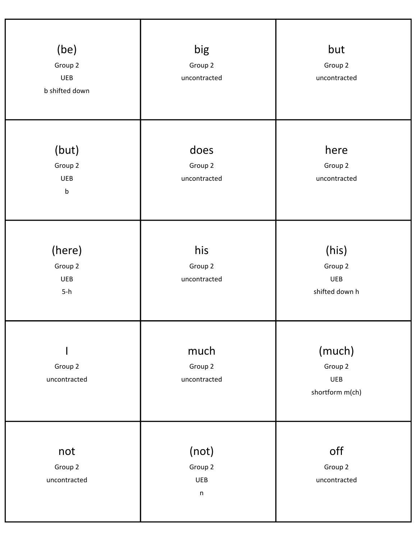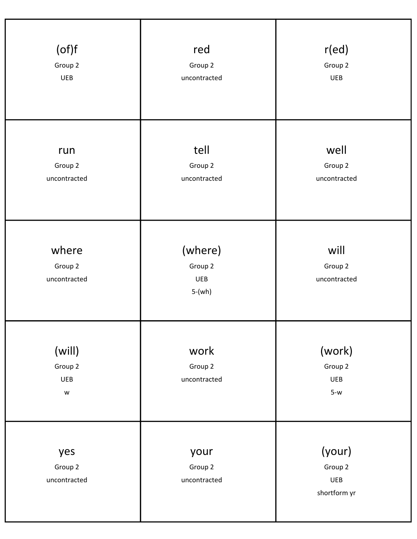| (of)f<br>Group 2<br>UEB                                                                                           | red<br>Group 2<br>uncontracted        | r(ed)<br>Group 2<br><b>UEB</b>           |
|-------------------------------------------------------------------------------------------------------------------|---------------------------------------|------------------------------------------|
| run<br>Group 2<br>uncontracted                                                                                    | tell<br>Group 2<br>uncontracted       | well<br>Group 2<br>uncontracted          |
| where<br>Group 2<br>uncontracted                                                                                  | (where)<br>Group 2<br>UEB<br>$5-(wh)$ | will<br>Group 2<br>uncontracted          |
| (will)<br>Group 2<br>UEB<br>$\mathsf{W}% _{T}=\mathsf{W}_{T}\!\left( a,b\right) ,\ \mathsf{W}_{T}=\mathsf{W}_{T}$ | work<br>Group 2<br>uncontracted       | (work)<br>Group 2<br>UEB<br>$5-w$        |
| yes<br>Group 2<br>uncontracted                                                                                    | your<br>Group 2<br>uncontracted       | (your)<br>Group 2<br>UEB<br>shortform yr |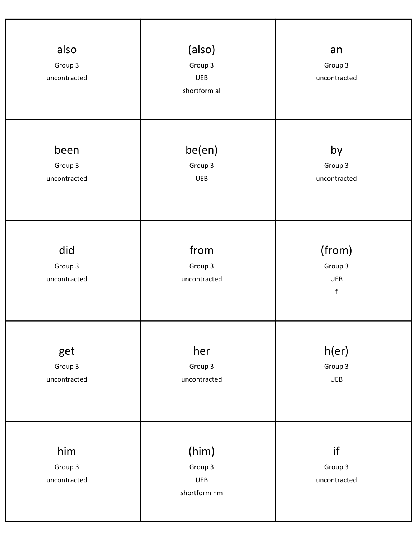| also<br>Group 3<br>uncontracted | (also)<br>Group 3<br>UEB<br>shortform al | an<br>Group 3<br>uncontracted                  |
|---------------------------------|------------------------------------------|------------------------------------------------|
| been<br>Group 3<br>uncontracted | be(en)<br>Group 3<br>UEB                 | by<br>Group 3<br>uncontracted                  |
| did<br>Group 3<br>uncontracted  | from<br>Group 3<br>uncontracted          | (from)<br>Group 3<br><b>UEB</b><br>$\mathsf f$ |
| get<br>Group 3<br>uncontracted  | her<br>Group 3<br>uncontracted           | h(er)<br>Group 3<br><b>UEB</b>                 |
| him<br>Group 3<br>uncontracted  | (him)<br>Group 3<br>UEB<br>shortform hm  | if<br>Group 3<br>uncontracted                  |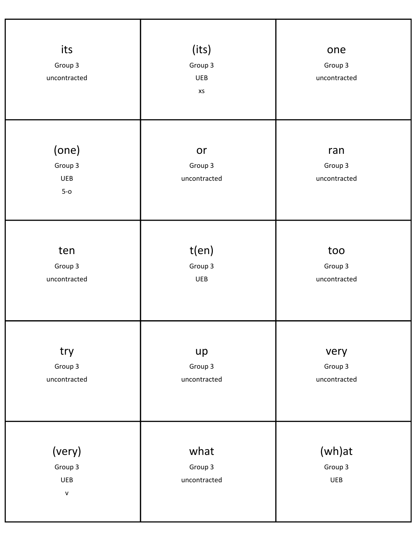| its<br>Group 3<br>uncontracted           | (its)<br>Group 3<br><b>UEB</b><br>XS | one<br>Group 3<br>uncontracted  |
|------------------------------------------|--------------------------------------|---------------------------------|
| (one)<br>Group 3<br><b>UEB</b><br>$5-0$  | or<br>Group 3<br>uncontracted        | ran<br>Group 3<br>uncontracted  |
| ten<br>Group 3<br>uncontracted           | t(en)<br>Group 3<br>UEB              | too<br>Group 3<br>uncontracted  |
| try<br>Group 3<br>uncontracted           | up<br>Group 3<br>uncontracted        | very<br>Group 3<br>uncontracted |
| (very)<br>Group 3<br>UEB<br>$\mathsf{V}$ | what<br>Group 3<br>uncontracted      | (wh)at<br>Group 3<br>UEB        |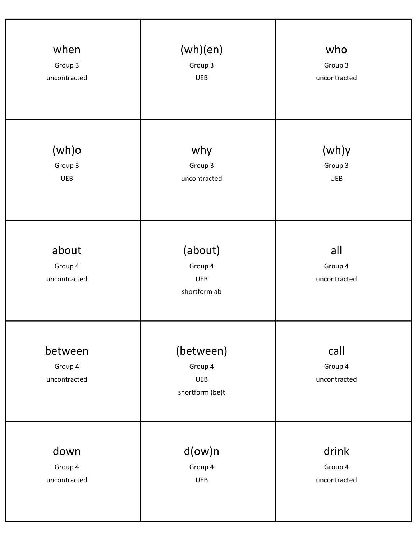| when                               | (wh)(en)                                         | who                             |
|------------------------------------|--------------------------------------------------|---------------------------------|
| Group 3                            | Group 3                                          | Group 3                         |
| uncontracted                       | UEB                                              | uncontracted                    |
| $(wh)$ o                           | why                                              | (wh)y                           |
| Group 3                            | Group 3                                          | Group 3                         |
| <b>UEB</b>                         | uncontracted                                     | <b>UEB</b>                      |
| about<br>Group 4<br>uncontracted   | (about)<br>Group 4<br><b>UEB</b><br>shortform ab | all<br>Group 4<br>uncontracted  |
| between<br>Group 4<br>uncontracted | (between)<br>Group 4<br>UEB<br>shortform (be)t   | call<br>Group 4<br>uncontracted |
| down                               | $d(ow)$ n                                        | drink                           |
| Group 4                            | Group 4                                          | Group 4                         |
| uncontracted                       | <b>UEB</b>                                       | uncontracted                    |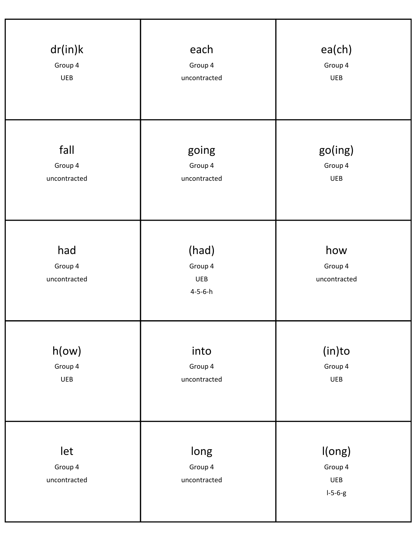| dr(in)k                        | each                                              | ea(ch)                                |
|--------------------------------|---------------------------------------------------|---------------------------------------|
| Group 4                        | Group 4                                           | Group 4                               |
| <b>UEB</b>                     | uncontracted                                      | <b>UEB</b>                            |
| fall                           | going                                             | go(ing)                               |
| Group 4                        | Group 4                                           | Group 4                               |
| uncontracted                   | uncontracted                                      | <b>UEB</b>                            |
| had<br>Group 4<br>uncontracted | (had)<br>Group 4<br><b>UEB</b><br>$4 - 5 - 6 - h$ | how<br>Group 4<br>uncontracted        |
| h(ow)                          | into                                              | $(in)$ to                             |
| Group 4                        | Group 4                                           | Group 4                               |
| UEB                            | uncontracted                                      | <b>UEB</b>                            |
| let<br>Group 4<br>uncontracted | long<br>Group 4<br>uncontracted                   | I(ong)<br>Group 4<br>UEB<br>$I-5-6-g$ |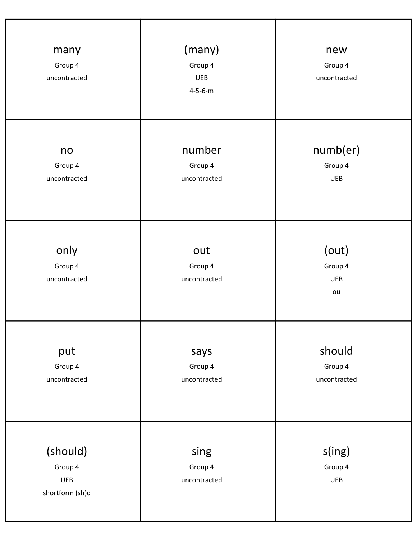| many<br>Group 4<br>uncontracted               | (many)<br>Group 4<br><b>UEB</b><br>$4 - 5 - 6 - m$ | new<br>Group 4<br>uncontracted       |
|-----------------------------------------------|----------------------------------------------------|--------------------------------------|
| no<br>Group 4<br>uncontracted                 | number<br>Group 4<br>uncontracted                  | numb(er)<br>Group 4<br><b>UEB</b>    |
| only<br>Group 4<br>uncontracted               | out<br>Group 4<br>uncontracted                     | (out)<br>Group 4<br><b>UEB</b><br>ou |
| put<br>Group 4<br>uncontracted                | says<br>Group 4<br>uncontracted                    | should<br>Group 4<br>uncontracted    |
| (should)<br>Group 4<br>UEB<br>shortform (sh)d | sing<br>Group 4<br>uncontracted                    | s(ing)<br>Group 4<br>UEB             |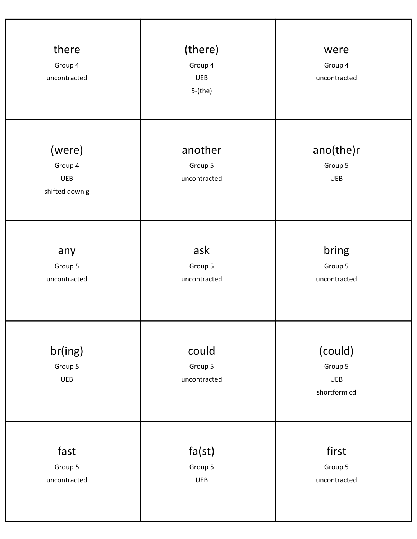| there<br>Group 4<br>uncontracted                  | (there)<br>Group 4<br><b>UEB</b><br>$5-(the)$ | were<br>Group 4<br>uncontracted           |
|---------------------------------------------------|-----------------------------------------------|-------------------------------------------|
| (were)<br>Group 4<br><b>UEB</b><br>shifted down g | another<br>Group 5<br>uncontracted            | ano(the)r<br>Group 5<br><b>UEB</b>        |
| any<br>Group 5<br>uncontracted                    | ask<br>Group 5<br>uncontracted                | bring<br>Group 5<br>uncontracted          |
| br(ing)<br>Group 5<br><b>UEB</b>                  | could<br>Group 5<br>uncontracted              | (could)<br>Group 5<br>UEB<br>shortform cd |
| fast<br>Group 5<br>uncontracted                   | fa(st)<br>Group 5<br>UEB                      | first<br>Group 5<br>uncontracted          |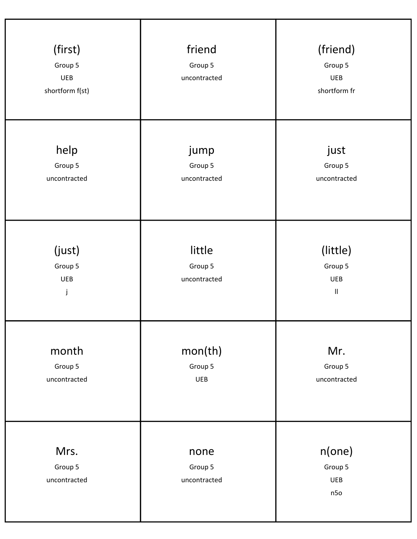| (first)<br>Group 5<br><b>UEB</b><br>shortform f(st) | friend<br>Group 5<br>uncontracted | (friend)<br>Group 5<br><b>UEB</b><br>shortform fr               |
|-----------------------------------------------------|-----------------------------------|-----------------------------------------------------------------|
| help<br>Group 5<br>uncontracted                     | jump<br>Group 5<br>uncontracted   | just<br>Group 5<br>uncontracted                                 |
| (just)<br>Group 5<br><b>UEB</b><br>j                | little<br>Group 5<br>uncontracted | (little)<br>Group 5<br><b>UEB</b><br>$\ensuremath{\mathsf{II}}$ |
| month<br>Group 5<br>uncontracted                    | mon(th)<br>Group 5<br><b>UEB</b>  | Mr.<br>Group 5<br>uncontracted                                  |
| Mrs.<br>Group 5<br>uncontracted                     | none<br>Group 5<br>uncontracted   | n(one)<br>Group 5<br>UEB<br>n50                                 |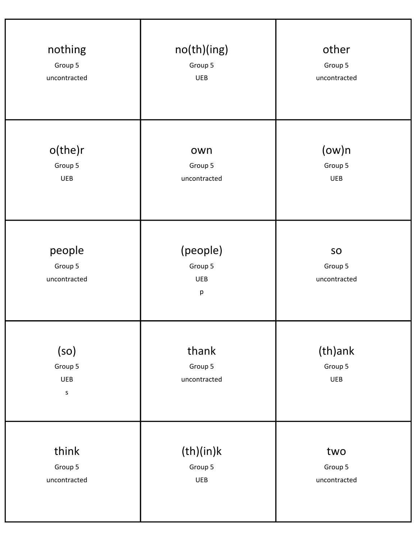| nothing                                  | no(th)(ing)                            | other                         |
|------------------------------------------|----------------------------------------|-------------------------------|
| Group 5                                  | Group 5                                | Group 5                       |
| uncontracted                             | <b>UEB</b>                             | uncontracted                  |
| o(the)r                                  | own                                    | $(ow)$ n                      |
| Group 5                                  | Group 5                                | Group 5                       |
| <b>UEB</b>                               | uncontracted                           | <b>UEB</b>                    |
| people<br>Group 5<br>uncontracted        | (people)<br>Group 5<br><b>UEB</b><br>р | SO<br>Group 5<br>uncontracted |
| (so)<br>Group 5<br><b>UEB</b><br>$\sf S$ | thank<br>Group 5<br>uncontracted       | (th)ank<br>Group 5<br>UEB     |
| think                                    | (th)(in)k                              | two                           |
| Group 5                                  | Group 5                                | Group 5                       |
| uncontracted                             | UEB                                    | uncontracted                  |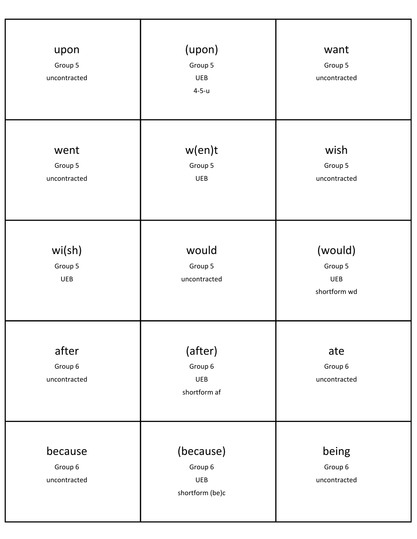| upon<br>Group 5<br>uncontracted    | (upon)<br>Group 5<br><b>UEB</b><br>$4 - 5 - u$        | want<br>Group 5<br>uncontracted                  |
|------------------------------------|-------------------------------------------------------|--------------------------------------------------|
| went<br>Group 5<br>uncontracted    | w(en)t<br>Group 5<br><b>UEB</b>                       | wish<br>Group 5<br>uncontracted                  |
| wi(sh)<br>Group 5<br><b>UEB</b>    | would<br>Group 5<br>uncontracted                      | (would)<br>Group 5<br><b>UEB</b><br>shortform wd |
| after<br>Group 6<br>uncontracted   | (after)<br>Group 6<br><b>UEB</b><br>shortform af      | ate<br>Group 6<br>uncontracted                   |
| because<br>Group 6<br>uncontracted | (because)<br>Group 6<br><b>UEB</b><br>shortform (be)c | being<br>Group 6<br>uncontracted                 |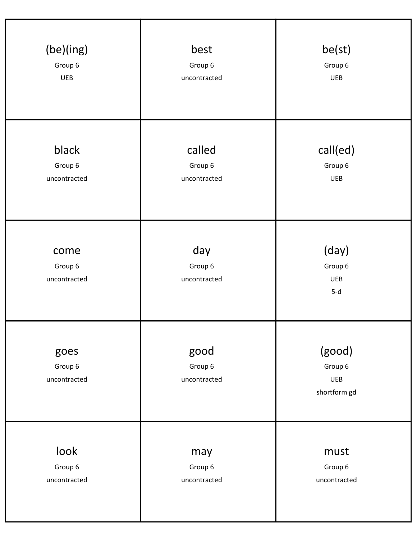| (be)(ing)                       | best                            | be(st)                                   |
|---------------------------------|---------------------------------|------------------------------------------|
| Group 6                         | Group 6                         | Group 6                                  |
| <b>UEB</b>                      | uncontracted                    | <b>UEB</b>                               |
| black                           | called                          | call(ed)                                 |
| Group 6                         | Group 6                         | Group 6                                  |
| uncontracted                    | uncontracted                    | <b>UEB</b>                               |
| come<br>Group 6<br>uncontracted | day<br>Group 6<br>uncontracted  | (day)<br>Group 6<br><b>UEB</b><br>$5-d$  |
| goes<br>Group 6<br>uncontracted | good<br>Group 6<br>uncontracted | (good)<br>Group 6<br>UEB<br>shortform gd |
| look                            | may                             | must                                     |
| Group 6                         | Group 6                         | Group 6                                  |
| uncontracted                    | uncontracted                    | uncontracted                             |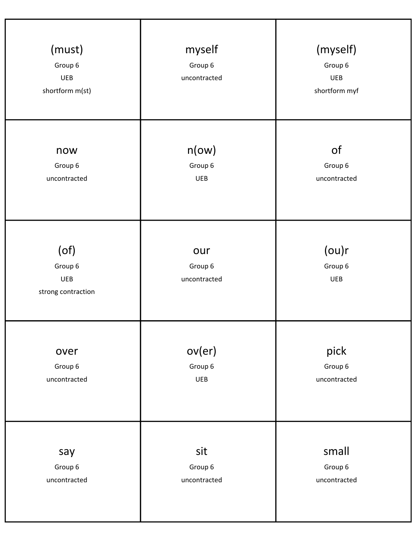| (must)<br>Group 6<br><b>UEB</b><br>shortform m(st) | myself<br>Group 6<br>uncontracted | (myself)<br>Group 6<br><b>UEB</b><br>shortform myf |
|----------------------------------------------------|-----------------------------------|----------------------------------------------------|
| now                                                | n(ow)                             | of                                                 |
| Group 6                                            | Group 6                           | Group 6                                            |
| uncontracted                                       | <b>UEB</b>                        | uncontracted                                       |
| $($ of $)$<br>Group 6<br>UEB<br>strong contraction | our<br>Group 6<br>uncontracted    | (ou)r<br>Group 6<br>UEB                            |
| over                                               | ov(er)                            | pick                                               |
| Group 6                                            | Group 6                           | Group 6                                            |
| uncontracted                                       | UEB                               | uncontracted                                       |
| say                                                | sit                               | small                                              |
| Group 6                                            | Group 6                           | Group 6                                            |
| uncontracted                                       | uncontracted                      | uncontracted                                       |